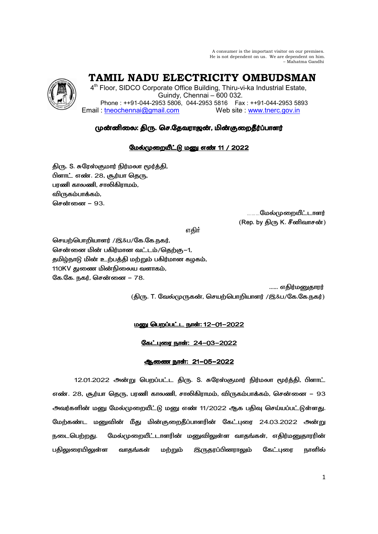A consumer is the important visitor on our premises. He is not dependent on us. We are dependent on him. – Mahatma Gandhi

 **TAMIL NADU ELECTRICITY OMBUDSMAN** 

4<sup>th</sup> Floor, SIDCO Corporate Office Building, Thiru-vi-ka Industrial Estate, Guindy, Chennai – 600 032. Phone : ++91-044-2953 5806, 044-2953 5816 Fax : ++91-044-2953 5893 Email : tneochennai@gmail.com Web site : www.tnerc.gov.in

# முன்னிலை: திரு. செ.தேவராஜன், மின்குறைதீர்ப்பாளர்

# மேல்முறையீட்டு மனு எண் 11 / 2022

திரு. S. சுரேஸ்குமார் நிர்மலா மூர்த்தி, ிளாட் எண். 28, சூர்யா தெரு, பரணி காலணி, சாலிகிராமம், விருகம்பாக்கம், சென்னை – 93.

> <sub>………</sub>மேல்முறையீட்டாளர்  $(\mathsf{Rep.}\ \mathsf{by}\ \mathfrak{Hom}\ \mathsf{K}.\ \mathfrak{F}$ னிவாசன் $)$

v®

செயற்பொறியாளர் /இ&ப/கே.கே.நகர், சென்னை மின் பகிர்மான வட்டம்/தெற்கு−1, தமிழ்நாடு மின் உற்பத்தி மற்றும் பகிர்மான கழகம், 110KV துணை மின்நிலைய வளாகம், கே.கே. நகர், சென்னை – 78.

...... எதிர்மனுதாரர் (திரு. T. வேல்முருகன், செயற்பொறியாளர் /இ&ப/கே.கே.நகர்)

# <u> மனு பெறப்பட்ட நாள்: 12-01-2022</u>

<u>கேட்புரை நாள்: 24-03-2022</u>

# <u>ஆணை நாள்: 21-05-2022</u>

12.01.2022 அன்று பெறப்பட்ட திரு. S. சுரேஸ்குமார் நிர்மலா மூர்த்தி, பிளாட் எண். 28, சூர்யா தெரு, பரணி காலணி, சாலிகிராமம், விருகம்பாக்கம், சென்னை – 93 அவர்களின் மனு மேல்முறையீட்டு மனு எண் 11/2022 ஆக பதிவு செய்யப்பட்டுள்ளது. மேற்கண்ட மனுவின் மீது மின்குறைதீப்பாளரின் கேட்புரை 24.03.2022 அன்று நடைபெற்றது. மேல்முறையீட்டாளரின் மனுவிலுள்ள வாதங்கள், எதிர்மனுதாரரின் பதிலுரையிலுள்ள வாதங்கள் மற்றும் இருதரப்பினராலும் கேட்புரை நாளில்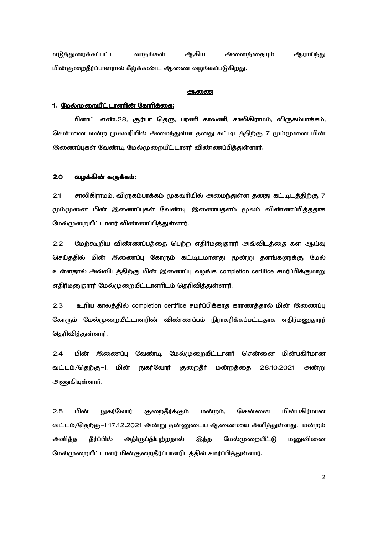எடுத்துரைக்கப்பட்ட வாதங்கள் ஆகிய அணைத்தையும் ஆராய்ந்து மின்குறைதீர்ப்பாளரால் கீழ்க்கண்ட ஆணை வழங்கப்படுகிறது.

#### ஆணை

## 1. மேல்முறையீட்டாளரின் கோரிக்கை:

பிளாட் எண்.28, சூர்யா தெரு, பரணி காலணி, சாலிகிராமம், விருகம்பாக்கம், சென்னை என்ற முகவரியில் அமைந்துள்ள தனது கட்டிடத்திற்கு 7 மும்முனை மின் இணைப்புகள் வேண்டி மேல்முறையீட்டாளர் விண்ணப்பித்துள்ளார்.

#### $2.0$ <u>வழக்கின் சுருக்கம்:</u>

 $2.1$ சாலிகிராமம், விருகம்பாக்கம் முகவரியில் அமைந்துள்ள தனது கட்டிடத்திற்கு 7 மும்முனை மின் இணைப்புகள் வேண்டி இணையதளம் மூலம் விண்ணப்பித்ததாக மேல்முறையீட்டாளர் விண்ணப்பித்துள்ளார்.

மேற்கூறிய விண்ணப்பத்தை பெற்ற எதிர்மனுதாரர் அவ்விடத்தை கள ஆய்வு  $2.2$ செய்ததில் மின் இணைப்பு கோரும் கட்டிடமானது மூன்று தளங்களுக்கு மேல் உள்ளதால் அவ்விடத்திற்கு மின் இணைப்பு வழங்க completion certifice சமர்ப்பிக்குமாறு எதிர்மனுதாரர் மேல்முறையீட்டாளரிடம் தெரிவித்துள்ளார்.

 $2.3$ உரிய காலத்தில் completion certifice சமர்ப்பிக்காத காரணத்தால் மின் இணைப்பு கோரும் மேல்முறையீட்டாளரின் விண்ணப்பம் நிராகரிக்கப்பட்டதாக எதிர்மனுதாரர் தெரிவித்துள்ளார்.

 $2.4$ மின் இணைப்பு வேண்டி மேல்முறையீட்டாளர் சென்னை மின்பகிர்மான வட்டம்/தெற்கு-1, **நுகர்வோர்** அன்று மின் குறைதீர் மன்றத்தை 28.10.2021 அணுகியுள்ளார்.

 $2.5$ மின் **நுகர்வோர்** குறைதீர்க்கு**ம்** மன்றம், சென்னை மின்பகிர்மான வட்டம்/தெற்கு–l 17.12.2021 அன்று தன்னுடைய ஆணையை அளித்துள்ளது. மன்றம் அளித்த தீர்ப்பில் அதிருப்தியுற்றதால் இந்த மேல்முறையீட்டு மனுவினை மேல்முறையீட்டாளர் மின்குறைதீர்ப்பாளரிடத்தில் சமர்ப்பித்துள்ளார்.

 $\overline{2}$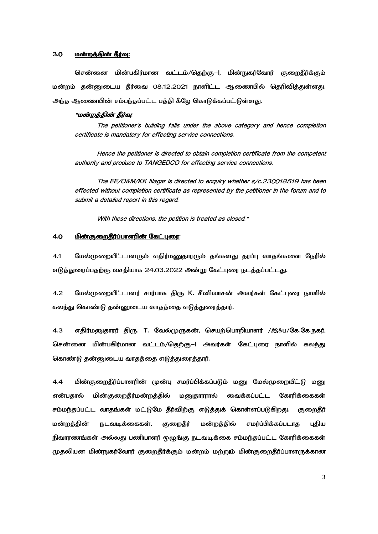### 3.0 - <u>மன்றத்தின் தீர்வு:</u>

சென்னை மின்பகிர்மான வட்டம்/தெற்கு–I, மின்நுகர்வோர் குறைதீர்க்கும் மன்றம் தன்னுடைய தீர்வை 08.12.2021 நாளிட்ட ஆணையில் தெரிவித்துள்ளது. அந்த ஆணையின் சம்பந்தப்பட்ட பத்தி கீழே கொடுக்கப்பட்டுள்ளது.

#### "<u>மன்றத்தின் தீர்வு</u>:

The petitioner's building falls under the above category and hence completion certificate is mandatory for effecting service connections.

 Hence the petitioner is directed to obtain completion certificate from the competent authority and produce to TANGEDCO for effecting service connections.

 The EE/O&M/KK Nagar is directed to enquiry whether s/c.230018519 has been effected without completion certificate as represented by the petitioner in the forum and to submit a detailed report in this regard.

With these directions, the petition is treated as closed."

### <u>4.0 மின்குறைதீர்ப்பாளரின் கேட்புரை:</u>

4.1 மேல்முறையீட்டாளரும் எதிர்மனுதாரரும் தங்களது தரப்பு வாதங்களை நேரில் எடுத்துரைப்பதற்கு வசதியாக 24.03.2022 அன்று கேட்புரை நடத்தப்பட்டது.

4.2 மேல்முறையீட்டாளர் சார்பாக திரு K. சீனிவாசன் அவர்கள் கேட்புரை நாளில் கலந்து கொண்டு தன்னுடைய வாதத்தை எடுத்துரைத்தார்.

4.3 எதிர்மனுதாரர் திரு. T. வேல்முருகன், செயற்பொறியாளர் /இ&ப/கே.கே.நகர், சென்னை மின்பகிர்மான வட்டம்/தெற்கு–l அவர்கள் கேட்புரை நாளில் கலந்து கொண்டு தன்னுடைய வாதத்தை எடுத்துரைத்தார்.

4.4 மின்குறைதீர்ப்பாளரின் முன்பு சமர்ப்பிக்கப்படும் மனு மேல்முறையீட்டு மனு என்பதால் மின் குறைதீர்மன்றத்தில் மனுதாரரால் வைக்கப்பட்ட கோரிக்கைகள் சம்மந்தப்பட்ட வாதங்கள் மட்டுமே தீர்விற்கு எடுத்துக் கொள்ளப்படுகிறது. குறைதீர் மன்றத்தின் நடவடிக்கைகள், குறைதீர் மன்றத்தில் சமர்ப்பிக்கப்படாத புதிய நிவாரணங்கள் அல்லது பணியாளர் ஒழுங்கு நடவடிக்கை சம்மந்தப்பட்ட கோரிக்கைகள் முதலியன மின்நுகர்வோர் குறைதீர்க்கும் மன்றம் மற்றும் மின்குறைதீர்ப்பாளருக்கான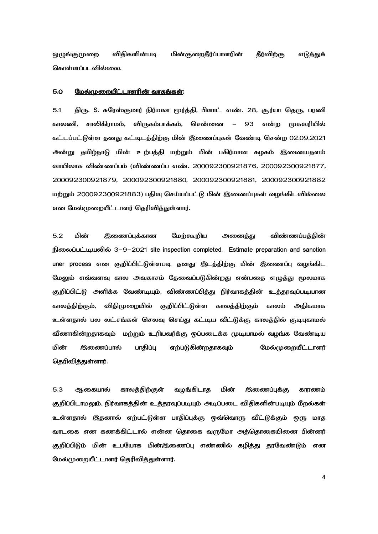ஒழுங்குமுறை விதிகளின்படி படி மின்குறைதீர்ப்பாளரின் தீர்விற்கு எடுத்துக் கொள்ளப்படவில்லை.

### 5.0 
>a- c3W:

5.1 கிரு. S. சுரேஸ்குமார் நிர்மலா மூர்க்கி, பிளாட் எண். 28, சூர்யா கெரு, பரணி காலணி, சாலிகிராமம், விருகம்பாக்கம், சென்னை – 93 என்ற முகவரியில் கட்டப்பட்டுள்ள தனது கட்டிடத்திற்கு மின் இணைப்புகள் வேண்டி சென்ற 02.09.2021 அன்று தமிழ்நாடு மின் உற்பத்தி மற்றும் மின் பகிர்மான கழகம் இணையதளம் d3 7#T6 (7#T "#. 200092300921876, 200092300921877, 200092300921879, 200092300921880, 200092300921881, 200092300921882 மற்றும் 200092300921883) பதிவு செய்யப்பட்டு மின் இணைப்புகள் வழங்கிடவில்லை என மேல்முறையீட்டாளர் தெரிவிக்குள்ளார்.

5.2 மின் இணைப்புக்கான மேற்கூறிய அனைத்து விண்ணப்பக்கின் நிலைப்பட்டியலில் 3-9-2021 site inspection completed. Estimate preparation and sanction uner process என குறிப்பிட்டுள்ளபடி தனது இடத்திற்கு மின் இணைப்பு வழங்கிட மேலும் எவ்வளவு கால அவகாசம் தேவைப்படுகின்றது என்பதை எழுத்து மூலமாக குறிப்பிட்டு அளிக்க வேண்டியும், விண்ணப்பித்து நிர்வாகத்தின் உத்தரவுப்படியான காலத்திற்கும், விதிமுறையில் குறிப்பிட்டுள்ள காலத்திற்கும் காலம் அதிகமாக உள்ளதால் பல லட்சங்கள் செலவு செய்து கட்டிய வீட்டுக்கு காலத்தில் குடிபுகாமல் வீணாகின்றதாகவும் மற்றும் உரியவர்க்கு ஒப்படைக்க முடியாமல் வழங்க வேண்டிய மின் இணைப்பால் பாதிப்பு ஏற்படுகின்றதாகவும் மேல்முறையீட்டாளர் தெரிவித்துள்ளார்.

5.3 ஆகையால் காலத்திற்குள் வழங்கிடாத மின் இணைப்புக்கு காரணம் குறிப்பிடாமலும், நிர்வாகத்தின் உத்தரவுப்படியும் அடிப்படை விதிகளின்படியும் மீறல்கள் உள்ளதால் இதனால் ஏற்பட்டுள்ள பாதிப்புக்கு ஒவ்வொரு வீட்டுக்கும் ஒரு மாத வாடகை என கணக்கிட்டால் என்ன தொகை வருமோ அத்தொகையினை பின்னர் குறிப்பிடும் மின் உபயோக மின்இணைப்பு எண்ணில் கழித்து தரவேண்டும் என மேல்முறையீட்டாளர் தெரிவித்துள்ளார்.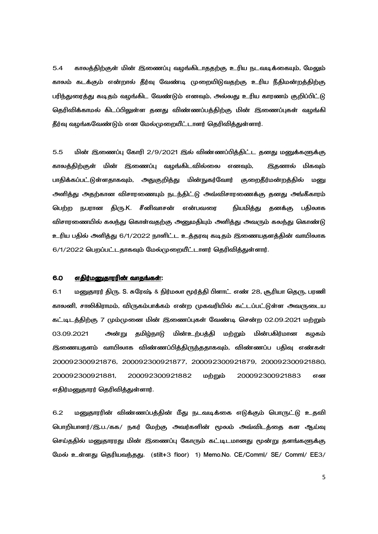5.4 காலத்திற்குள் மின் இணைப்பு வழங்கிடாததற்கு உரிய நடவடிக்கையும், மேலும் காலம் கடக்கும் என்றால் தீர்வு வேண்டி முறையிடுவதற்கு உரிய நீதிமன்றத்திற்கு பரிந்துரைத்து கடிதம் வழங்கிட வேண்டும் எனவும், அல்லது உரிய காரணம் குறிப்பிட்டு தெரிவிக்காமல் கிடப்பிலுள்ள தனது விண்ணப்பத்திற்கு மின் இணைப்புகள் வழங்கி தீர்வு வழங்கவேண்டும் என மேல்முறையீட்டாளர் தெரிவித்துள்ளார்.

5.5 மின் இணைப்பு கோரி 2/9/2021 இல் விண்ணப்பித்திட்ட தனது மனுக்களுக்கு காலத்திற்குள் மின் இணைப்பு வழங்கிடவில்லை எனவும், இதனால் மிகவும் பாதிக்கப்பட்டுள்ளதாகவும், அதுகுறித்து மின்நுகர்வோர் குறைதீர்மன்றத்தில் மனு அளித்து அதற்கான விசாரணையும் நடந்திட்டு அவ்விசாரணைக்கு தனது அங்கீகாரம் பெற்ற நபரான திரு.K. சீனிவாசன் என் நியமித்து தனக்கு பதிலாக விசாரணையில் கலந்து கொள்வதற்கு அனுமதியும் அளித்து அவரும் கலந்து கொண்டு உரிய பதில் அளித்து 6/1/2022 நாளிட்ட உத்தரவு கடிதம் இணையதளத்தின் வாயிலாக  $6/1/2022$  பெறப்பட்டதாகவும் மேல்முறையீட்டாளர் தெரிவித்துள்ளார்.

### 6.0 <u>எதிர்மனுதாரரின் வாதங்கள்</u>:

6.1 மனுதாரர் திரு. S. சுரேஷ் & நிர்மலா மூர்த்தி பிளாட் எண் 28, சூரியா தெரு, பரணி காலனி, சாலிகிராமம், விருகம்பாக்கம் என்ற முகவரியில் கட்டப்பட்டுள்ள அவருடைய கட்டிடத்திற்கு 7 மும்முனை மின் இணைப்புகள் வேண்டி சென்ற 02.09.2021 மற்றும் 03.09.2021 \-அன்று தமிழ்நாடு உற்பத்தி மற்றும் மின்பகிர்மான கழகம் இணையதளம் வாயிலாக விண்ணப்பித்திருந்ததாகவும், விண்ணப்ப பதிவு எண்கள் 200092300921876, 200092300921877, 200092300921879, 200092300921880, 200092300921881, 200092300921882 மற்றும் 200092300921883 என எதிர்மனுதாரர் தெரிவித்துள்ளார்.

6.2 மனுதாரரின் விண்ணப்பத்தின் மீது நடவடிக்கை எடுக்கும் பொருட்டு உதவி பொறியாளர்/இ.ப./கக/ நகர் மேற்கு அவர்களின் மூலம் அவ்விடத்தை கள ஆய்வு செய்ததில் மனுதாரரது மின் இணைப்பு கோரும் கட்டிடமானது மூன்று தளங்களுக்கு மேல் உள்ளது தெரியவந்தது. (stilt+3 floor) 1) Memo.No. CE/Comml/ SE/ Comml/ EE3/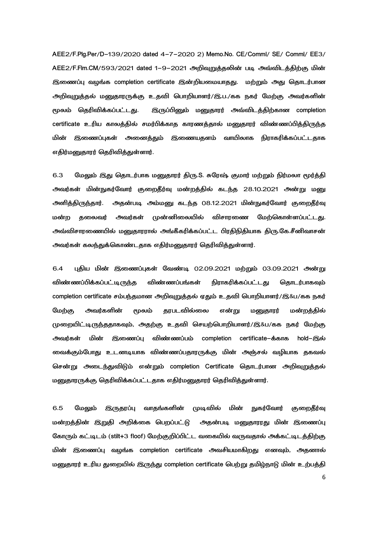AEE2/F.Plg.Per/D-139/2020 dated 4-7-2020 2) Memo.No. CE/Comml/ SE/ Comml/ EE3/ AEE2/F.Flm.CM/593/2021 dated 1–9–2021 அறிவுறுத்தலின் படி அவ்விடத்திற்கு மின் இணைப்பு வழங்க completion certificate இன்றியமையாதது. மற்றும் அது தொடர்பான அறிவுறுத்தல் மனுதாரருக்கு உதவி பொறியாளர்/இ.ப./கக நகர் மேற்கு அவர்களின் மூலம் தெரிவிக்கப்பட்டது. இருப்பினும் மனுதாரர் அவ்விடத்திற்கான completion certificate உரிய காலத்தில் சமர்பிக்காத காரணத்தால் மனுதாரர் விண்ணப்பித்திருந்த மின் இணைப்புகள் அனைத்தும் இணையதளம் வாயிலாக நிராகரிக்கப்பட்டதாக எதிர்மனுதாரர் தெரிவித்துள்ளார்.

6.3 மேலும் இது தொடர்பாக மனுதாரர் திரு.S. சுரேஷ் குமார் மற்றும் நிர்மலா மூர்த்தி அவர்கள் மின்நுகர்வோர் குறைதீர்வு மன்றத்தில் கடந்த 28.10.2021 அன்று மனு அளித்திருந்தார். படி அம்மனு கடந்த 08.12.2021 மின்நுகர்வோர் குறைதீர்வு மன்ற ற தலைவர் அவர்கள் முன்னிலையில் விசாரணை மேற்கொள்ளப்பட்டது. அவ்விசாரணையில் மனுதாரரால் அங்கீகரிக்கப்பட்ட பிரதிநிதியாக திரு.கே.சீனிவாசன் அவர்கள் கலந்துக்கொண்டதாக எதிர்மனுதாரர் தெரிவித்துள்ளார்.

6.4 புதிய மின் இணைப்புகள் வேண்டி 02.09.2021 மற்றும் 03.09.2021 அன்று விண்ணப்பிக்கப்பட்டிருந்த விண்ணப்பங்கள் நிராகரிக்கப்பட்டது தொடர்பாகவும் completion certificate சம்பந்தமான அறிவுறுத்தல் ஏதும் உதவி பொறியாளர்/இ&ப/கக நகர் மேற்கு அவர்களின் மூலம் தரபடவில்லை என்று மனுகாரர் மன்றக்கில் முறையிட்டிருந்ததாகவும், அதற்கு உதவி செயற்பொறியாளர்/இ&ப/கக நகர் மேற்கு அவர்கள் மின் இணைப்பு விண்ணப்பம் completion certificate–க்காக hold–இல் வைக்கும்போது உடனடியாக விண்ணப்பதாரருக்கு மின் அஞ்சல் வழியாக தகவல் சென்று அடைந்துவிடும் என்றும் completion Certificate தொடர்பான அறிவுறுத்தல் மனுதாரருக்கு தெரிவிக்கப்பட்டதாக எதிர்மனுதாரர் தெரிவித்துள்ளார்.

6.5 
b6 J X c3]- h7 -நுகர்வோர் குறைதீர்வு மன்றத்தின் இறுதி அறிக்கை பெறப்பட்டு அதன் படி மனுதாரரது மின் இணைப்பு கோரும் கட்டிடம் (stilt+3 floof) மேற்குறிப்பிட்ட வகையில் வருவதால் அக்கட்டிடத்திற்கு மின் இணைப்பு வழங்க completion certificate அவசியமாகிறது எனவும், அதனால் மனுதாரர் உரிய துறையில் இருந்து completion certificate பெற்று தமிழ்நாடு மின் உற்பத்தி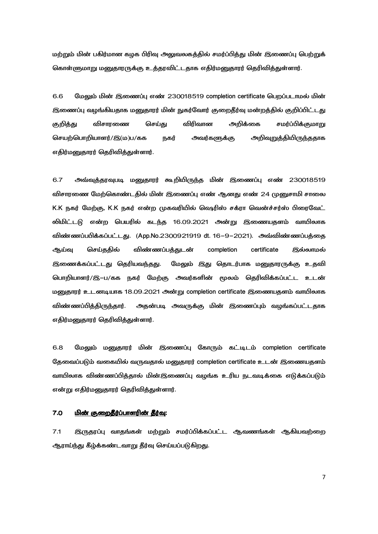மற்றும் மின் பகிர்மான கழக பிரிவு அலுவலகத்தில் சமர்ப்பித்து மின் இணைப்பு பெற்றுக் கொள்ளுமாறு மனுதாரருக்கு உத்தரவிட்டதாக எதிர்மனுதாரர் தெரிவித்துள்ளார்.

6.6 மேலும் மின் இணைப்பு எண் 230018519 completion certificate பெறப்படாமல் மின் இணைப்பு வழங்கியதாக மனுதாரர் மின் நுகர்வோர் குறைதீர்வு மன்றத்தில் குறிப்பிட்டது குறித்து விசாரணை செய்து விரிவான அறிக்கை சமர்ப்பிக்குமாறு செயற்பொறியாளர்/இ(ம)ப/கக நகர் அவர்களுக்கு அறிவுறுத்தியிருந்ததாக எதிர்மனுதாரர் தெரிவித்துள்ளார்.

6.7 \j^-^h ! iId f - JTX "# 230018519 விசாரணை மேற்கொண்டதில் மின் இணைப்பு எண் ஆனது எண் 24 முனுசாமி சாலை K.K நகர் மேற்கு, K.K நகர் என்ற முகவரியில் ஷெரிஸ் சக்ரா வென்ச்சர்ஸ் பிரைவேட் லிமிட்டடு என்ற பெயரில் கடந்த 16.09.2021 அன்று இணையதளம் வாயிலாக விண்ணப்பபிக்கப்பட்டது. (App.No.2300921919 dt. 16-9-2021). அவ்விண்ணப்பத்தை ஆய்வு செய்ததில் விண்ணப்பத்துடன் completion certificate இல்லாமல் இணைக்கப்பட்டது தெரியவந்தது. மேலும் இது தொடர்பாக மனுதாரருக்கு உதவி பொறியாளர்/இ–ப/கக நகர் மேற்கு அவர்களின் மூலம் தெரிவிக்கப்பட்ட உடன் மனுதாரர் உடனடியாக 18.09.2021 அன்று completion certificate இணையதளம் வாயிலாக விண்ணப்பித்திருந்தார். படி அவருக்கு மின் இணைப்பும் வழங்கப்பட்டதாக எதிர்மனுதாரர் தெரிவித்துள்ளார்.

6.8 மேலும் மனுதாரர் மின் இணைப்பு கோரும் கட்டிடம் completion certificate தேவைப்படும் வகையில் வருவதால் மனுதாரர் completion certificate உடன் இணையதளம் வாயிலாக விண்ணப்பித்தால் மின்இணைப்பு வழங்க உரிய நடவடிக்கை எடுக்கப்படும் என்று எதிர்மனுதாரர் தெரிவித்துள்ளார்.

### 7.0 <u>மின் குறைதீர்ப்பாளரின் தீர்வு</u>:

7.1 இருதரப்பு வாதங்கள் மற்றும் சமர்ப்பிக்கப்பட்ட ஆவணங்கள் ஆகியவற்றை ஆராய்ந்து கீழ்க்கண்டவாறு தீர்வு செய்யப்படுகிறது.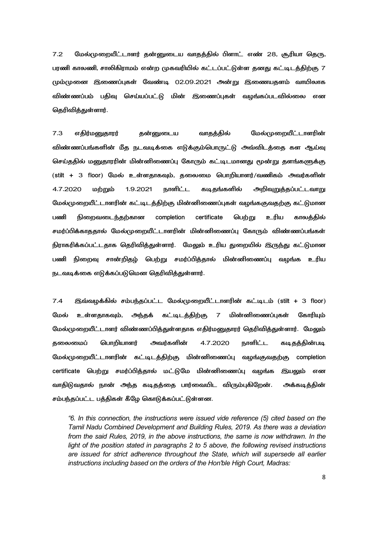7.2 மேல்முறையீட்டாளர் தன்னுடைய வாதத்தில் பிளாட் எண் 28, சூரியா தெரு, பரணி காலணி, சாலிகிராமம் என்ற முகவரியில் கட்டப்பட்டுள்ள தனது கட்டிடத்திற்கு 7 மும்முனை இணைப்புகள் வேண்டி 02.09.2021 அன்று இணையதளம் வாயிலாக விண்ணப்பம் பதிவு செய்யப்பட்டு மின் இணைப்புகள் வழங்கப்படவில்லை என கெரிவிக்குள்ளார்.

7.3 எதிர்மனுதாரர் தன்னுடைய னுடைய வாதத்தில் மேல்முறையீட்டாளரின் விண்ணப்பங்களின் மீத நடவடிக்கை எடுக்கும்பொருட்டு அவ்விடத்தை கள ஆய்வு செய்ததில் மனுதாரரின் மின்னிணைப்பு கோரும் கட்டிடமானது மூன்று தளங்களுக்கு (stilt + 3 floor) மேல் உள்ளதாகவும், தலைமை பொறியாளர்/வணிகம் அவர்களின் 4.7.2020 மற்றும் 1.9.2021 நாளிட்ட கடிதங்களில் அறிவுறுத்தப்பட்டவாறு மேல்முறையீட்டாளரின் கட்டிடத்திற்கு மின்னிணைப்புகள் வழங்ககுவதற்கு கட்டுமான பணி நிறைவடைந்தற்கான completion certificate பெற்று உரிய காலத்தில் சமர்ப்பிக்காததால் மேல்முறையீட்டாளரின் மின்னிணைப்பு கோரும் விண்ணப்பங்கள் நிராகரிக்கப்பட்டதாக தெரிவித்துள்ளார். மேலும் உரிய துறையில் இருந்து கட்டுமான பணி நிறைவு சான்றிதழ் பெற்று சமர்ப்பித்தால் மின்னிணைப்பு வழங்க உரிய நடவடிக்கை எடுக்கப்படுமென தெரிவித்துள்ளார்.

7.4 இவ்வழக்கில் சம்பந்தப்பட்ட மேல்முறையீட்டாளரின் கட்டிடம் (stilt + 3 floor) மேல் உள்ளதாகவும், அந்தக் கட்டிடத்திற்கு 7 மின்னிணைப்புகள் கோரியும் மேல்முறையீட்டாளர் விண்ணப்பித்துள்ளதாக எதிர்மனுதாரர் தெரிவித்துள்ளார். மேலும் தலைமைப் பொறியாளர் அவர்களின் 4.7.2020 நாளிட்ட கடிதத்தின்படி மேல்முறையீட்டாளரின் கட்டிடத்திற்கு மின்னிணைப்பு வழங்குவதற்கு completion certificate பெற்று சமர்ப்பித்தால் மட்டுமே மின்னிணைப்பு வழங்க இயலும் என வாதிடுவதால் நான் அந்த கடிதத்தை பார்வையிட விரும்புகிறேன் . அக்கடித்தின் சம்பந்தப்பட்ட பத்திகள் கீழே கொடுக்கப்பட்டுள்ளன.

*"6. In this connection, the instructions were issued vide reference (5) cited based on the Tamil Nadu Combined Development and Building Rules, 2019. As there was a deviation from the said Rules, 2019, in the above instructions, the same is now withdrawn. In the light of the position stated in paragraphs 2 to 5 above, the following revised instructions are issued for strict adherence throughout the State, which will supersede all earlier instructions including based on the orders of the Hon'ble High Court, Madras:*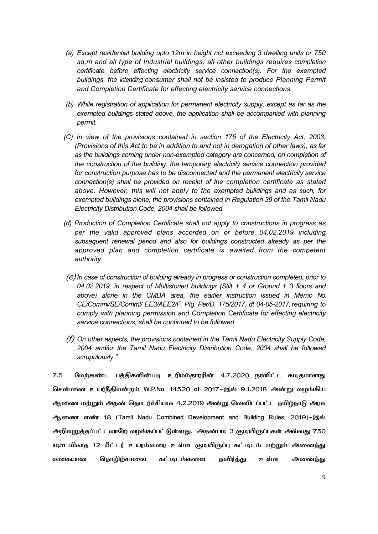- *(a) Except residential building upto 12m in height not exceeding 3 dwelling units or 750 sq.m and all type of Industrial buildings, all other buildings requires completion certificate before effecting electricity service connection(s). For the exempted buildings, the intending consumer shall not be insisted to produce Planning Permit and Completion Certificate for effecting electricity service connections.*
- *(b) While registration of application for permanent electricity supply, except as far as the exempted buildings stated above, the application shall be accompanied with planning permit.*
- *(C) In view of the provisions contained in section 175 of the Electricity Act, 2003, (Provisions of this Act to be in addition to and not in derogation of other laws), as far as the buildings coming under non-exempted category are concerned, on completion of the construction of the building, the temporary electricity service connection provided for construction purpose has to be disconnected and the permanent electricity service connection(s) shall be provided on receipt of the completion certificate as stated above. However, this will not apply to the exempted buildings and as such, for exempted buildings alone, the provisions contained in Regulation 39 of the Tamil Nadu Electricity Distribution Code, 2004 shall be followed.*
- *(d) Production of Completion Certificate shall not apply to constructions in progress as per the valid approved plans accorded on or before 04.02.2019 including subsequent renewal period and also for buildings constructed already as per the approved plan and completion certificate is awaited from the competent authority.*
- (e) *In case of construction of building already in progress or construction completed, prior to 04.02.2019, in respect of Multistoried buildings (Stilt + 4 or Ground + 3 floors and above) alone in the CMDA area, the earlier instruction issued in Memo No. CE/Comml/SE/Comml/ EE3/AEE2/F. PIg. Per/D. 175/2017, dt 04-05-2017, requiring to comply with planning permission and Completion Certificate for effecting electricity service connections, shall be continued to be followed.*
- (f) *On other aspects, the provisions contained in the Tamil Nadu Electricity Supply Code, 2004 and/or the Tamil Nadu Electricity Distribution Code, 2004 shall be followed scrupulously."*

7.5 மேற்கண்ட பத்திகளின்படி உரிமம்தாரரின் 4.7.2020 நாளிட்ட கடிதமானது சென்னை உயர்நீதிமன்றம் W.P.No. 14520 of 2017–இல் 9.1.2018 அன்று வழங்கிய ஆணை மற்றும் அதன் தொடர்ச்சியாக 4.2.2019 அன்று வெளிடப்பட்ட தமிழ்நாடு அரசு ஆணை எண் 18 (Tamil Nadu Combined Development and Building Rules, 2019)-இல் அறிவுறுத்தப்பட்டவாறே வழங்கப்பட்டுள்ளது. அதன்படி 3 குடியிருப்புகள் அல்லது 750 sq.m மிகாத 12 மீட்டர் உயரம்வரை உள்ள குடியிருப்பு கட்டிடம் மற்றும் அனைத்து வகையான தொழிற்சாலை கட்டிடங்களை தவிர்த்து உள்ள அனைத்து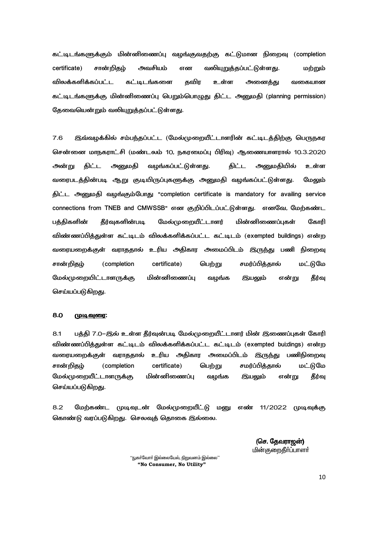கட்டிடங்களுக்கும் மின்னிணைப்பு வழங்குவதற்கு கட்டுமான நிறைவு (completion certificate) சான்றிதம் அவசியம் என வலியுறுத்தப்பட்டுள்ளது. மற்றும் விலக்களிக்கப்பட்ட கட்டிடங்களை கவிா உள்ள அனைக்கு வகையான கட்டிடங்களுக்கு மின்னிணைப்பு பெறும்பொழுது திட்ட அனுமதி (planning permission) தேவையென்றும் வலியுறுத்தப்பட்டுள்ளது.

7.6 இவ்வழக்கில் சம்பந்தப்பட்ட (மேல்முறையீட்டாளரின் கட்டிடத்திற்கு பெருநகர சென்னை மாநகராட்சி (மண்டலம் 10, நகரமைப்பு பிரிவு) ஆணையாளரால் 10.3.2020 <u>அன்று</u> திட்ட அனுமதி வழங்கப்பட்டுள்ளது. திட்ட அனுமதியில் உள்ள வரைபடத்தின்படி ஆறு குடியிருப்புகளுக்கு அனுமதி வழங்கப்பட்டுள்ளது. மேலும் திட்ட அனுமதி வழங்கும்போது "completion certificate is mandatory for availing service connections from TNEB and CMWSSB" என குறிப்பிடப்பட்டுள்ளது. எனவே, மேற்கண்ட பக்கிகளின் கீர்வகளின்படி மேல்முறையீட்டாளர் மின்னிணைப்பகள் கோரி விண்ணப்பித்துள்ள கட்டிடம் விலக்களிக்கப்பட்ட கட்டிடம் (exempted buildings) என்ற வரையறைக்குள் வராததால் உரிய அதிகார அமைப்பிடம் இருந்து பணி நிறைவு சான்றிதழ் (completion certificate) பெற்று சமர்ப்பித்தால் மட்டுமே மேல்முறையிட்டாளருக்கு மின்னிணைப்பு வழங்க இயலும் என்று தீர்வு செய்யப்படுகிறது.

# 8.0 <u>முடிவுரை</u>:

8.1 பத்தி 7.0–இல் உள்ள தீர்வுன்படி மேல்முறையீட்டாளர் மின் இணைப்புகள் கோரி விண்ணப்பித்துள்ள கட்டிடம் விலக்களிக்கப்பட்ட கட்டிடம் (exempted bui;dings) என்ற வரையறைக்குள் வராததால் உரிய அதிகார அமைப்பிடம் இருந்து பணிநிறைவு சான்றிகம் (completion certificate) பெற்று சமர்ப்பித்தால் மட்டுமே மேல்முறையீட்டாளருக்கு மின்னிணைப்பு வழங்க இயலும் என்று தீர்வு செய்யப்படுகிறது.

8.2 மேற்கண்ட முடிவுடன் மேல்முறையீட்டு மனு எண் 11/2022 முடிவுக்கு கொண்டு வரப்படுகிறது. செலவுத் தொகை இல்லை.

> (செ. கேவாாறன்) மின்குறைகீர்ப்பாளர்

 $\lq\lq$ ஙா்வோர் இல்லையேல். நிறுவனம் இல்லை $\lq\lq$  **"No Consumer, No Utility"**